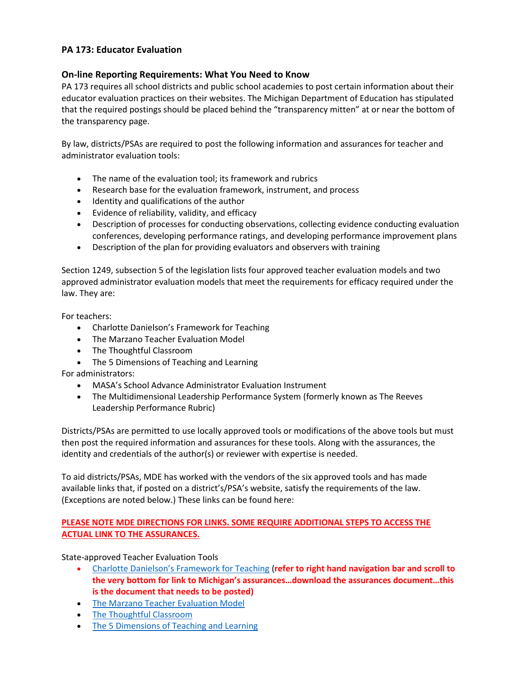# PA 173: Educator Evaluation

## On-line Reporting Requirements: What You Need to Know

PA 173 requires all school districts and public school academies to post certain information about their educator evaluation practices on their websites. The Michigan Department of Education has stipulated that the required postings should be placed behind the "transparency mitten" at or near the bottom of the transparency page.

By law, districts/PSAs are required to post the following information and assurances for teacher and administrator evaluation tools:

- The name of the evaluation tool; its framework and rubrics
- Research base for the evaluation framework, instrument, and process
- Identity and qualifications of the author
- Evidence of reliability, validity, and efficacy
- Description of processes for conducting observations, collecting evidence conducting evaluation conferences, developing performance ratings, and developing performance improvement plans
- Description of the plan for providing evaluators and observers with training

Section 1249, subsection 5 of the legislation lists four approved teacher evaluation models and two approved administrator evaluation models that meet the requirements for efficacy required under the law. They are:

For teachers:

- Charlotte Danielson's Framework for Teaching
- The Marzano Teacher Evaluation Model
- The Thoughtful Classroom
- The 5 Dimensions of Teaching and Learning

For administrators:

- MASA's School Advance Administrator Evaluation Instrument
- The Multidimensional Leadership Performance System (formerly known as The Reeves Leadership Performance Rubric)

Districts/PSAs are permitted to use locally approved tools or modifications of the above tools but must then post the required information and assurances for these tools. Along with the assurances, the identity and credentials of the author(s) or reviewer with expertise is needed.

To aid districts/PSAs, MDE has worked with the vendors of the six approved tools and has made available links that, if posted on a district's/PSA's website, satisfy the requirements of the law. (Exceptions are noted below.) These links can be found here:

### PLEASE NOTE MDE DIRECTIONS FOR LINKS. SOME REQUIRE ADDITIONAL STEPS TO ACCESS THE ACTUAL LINK TO THE ASSURANCES.

State-approved Teacher Evaluation Tools

- Charlotte Danielson's Framework for Teaching (refer to right hand navigation bar and scroll to the very bottom for link to Michigan's assurances…download the assurances document…this is the document that needs to be posted)
- The Marzano Teacher Evaluation Model
- The Thoughtful Classroom
- The 5 Dimensions of Teaching and Learning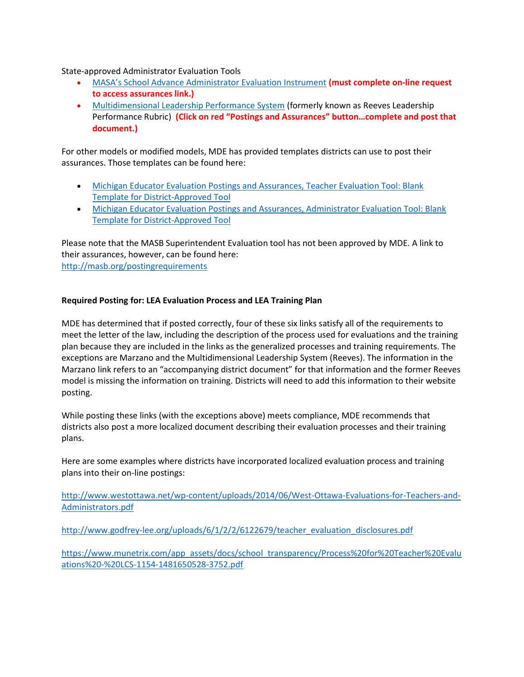State-approved Administrator Evaluation Tools

- MASA's School Advance Administrator Evaluation Instrument (must complete on-line request to access assurances link.)
- Multidimensional Leadership Performance System (formerly known as Reeves Leadership Performance Rubric) (Click on red "Postings and Assurances" button…complete and post that document.)

For other models or modified models, MDE has provided templates districts can use to post their assurances. Those templates can be found here:

- Michigan Educator Evaluation Postings and Assurances, Teacher Evaluation Tool: Blank Template for District-Approved Tool
- Michigan Educator Evaluation Postings and Assurances, Administrator Evaluation Tool: Blank Template for District-Approved Tool

Please note that the MASB Superintendent Evaluation tool has not been approved by MDE. A link to their assurances, however, can be found here: http://masb.org/postingrequirements

### Required Posting for: LEA Evaluation Process and LEA Training Plan

MDE has determined that if posted correctly, four of these six links satisfy all of the requirements to meet the letter of the law, including the description of the process used for evaluations and the training plan because they are included in the links as the generalized processes and training requirements. The exceptions are Marzano and the Multidimensional Leadership System (Reeves). The information in the Marzano link refers to an "accompanying district document" for that information and the former Reeves model is missing the information on training. Districts will need to add this information to their website posting.

While posting these links (with the exceptions above) meets compliance, MDE recommends that districts also post a more localized document describing their evaluation processes and their training plans.

Here are some examples where districts have incorporated localized evaluation process and training plans into their on-line postings:

http://www.westottawa.net/wp-content/uploads/2014/06/West-Ottawa-Evaluations-for-Teachers-and-Administrators.pdf

http://www.godfrey-lee.org/uploads/6/1/2/2/6122679/teacher\_evaluation\_disclosures.pdf

https://www.munetrix.com/app\_assets/docs/school\_transparency/Process%20for%20Teacher%20Evalu ations%20-%20LCS-1154-1481650528-3752.pdf